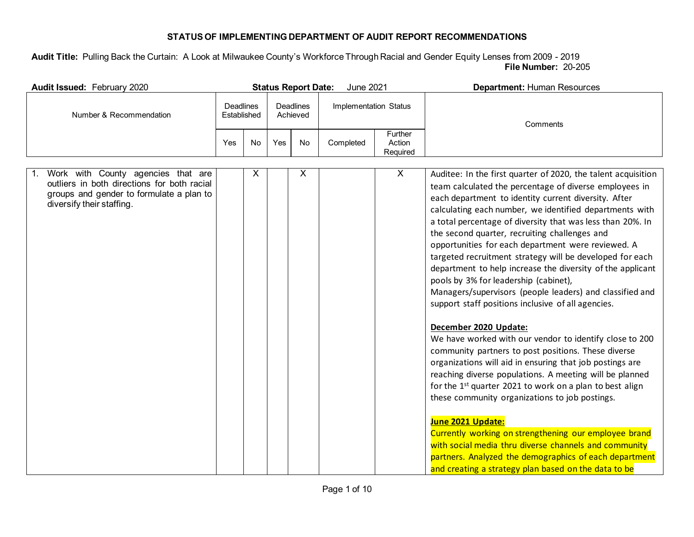| Audit Issued: February 2020                                                                                                                                |                          |           |     | <b>Status Report Date:</b>   | June 2021             |                               | <b>Department: Human Resources</b>                                                                                                                                                                                                                                                                                                                                                                                                                                                                                                                                                                                                                                                                                                                                                                                                                                                                                                                                                                                                                                                                                                                                                                                                                                                                                                            |
|------------------------------------------------------------------------------------------------------------------------------------------------------------|--------------------------|-----------|-----|------------------------------|-----------------------|-------------------------------|-----------------------------------------------------------------------------------------------------------------------------------------------------------------------------------------------------------------------------------------------------------------------------------------------------------------------------------------------------------------------------------------------------------------------------------------------------------------------------------------------------------------------------------------------------------------------------------------------------------------------------------------------------------------------------------------------------------------------------------------------------------------------------------------------------------------------------------------------------------------------------------------------------------------------------------------------------------------------------------------------------------------------------------------------------------------------------------------------------------------------------------------------------------------------------------------------------------------------------------------------------------------------------------------------------------------------------------------------|
| Number & Recommendation                                                                                                                                    | Deadlines<br>Established |           |     | <b>Deadlines</b><br>Achieved | Implementation Status |                               | Comments                                                                                                                                                                                                                                                                                                                                                                                                                                                                                                                                                                                                                                                                                                                                                                                                                                                                                                                                                                                                                                                                                                                                                                                                                                                                                                                                      |
|                                                                                                                                                            | Yes                      | <b>No</b> | Yes | No                           | Completed             | Further<br>Action<br>Required |                                                                                                                                                                                                                                                                                                                                                                                                                                                                                                                                                                                                                                                                                                                                                                                                                                                                                                                                                                                                                                                                                                                                                                                                                                                                                                                                               |
| Work with County agencies that are<br>outliers in both directions for both racial<br>groups and gender to formulate a plan to<br>diversify their staffing. |                          | X         |     | X                            |                       | $\overline{X}$                | Auditee: In the first quarter of 2020, the talent acquisition<br>team calculated the percentage of diverse employees in<br>each department to identity current diversity. After<br>calculating each number, we identified departments with<br>a total percentage of diversity that was less than 20%. In<br>the second quarter, recruiting challenges and<br>opportunities for each department were reviewed. A<br>targeted recruitment strategy will be developed for each<br>department to help increase the diversity of the applicant<br>pools by 3% for leadership (cabinet),<br>Managers/supervisors (people leaders) and classified and<br>support staff positions inclusive of all agencies.<br>December 2020 Update:<br>We have worked with our vendor to identify close to 200<br>community partners to post positions. These diverse<br>organizations will aid in ensuring that job postings are<br>reaching diverse populations. A meeting will be planned<br>for the 1st quarter 2021 to work on a plan to best align<br>these community organizations to job postings.<br>June 2021 Update:<br>Currently working on strengthening our employee brand<br>with social media thru diverse channels and community<br>partners. Analyzed the demographics of each department<br>and creating a strategy plan based on the data to be |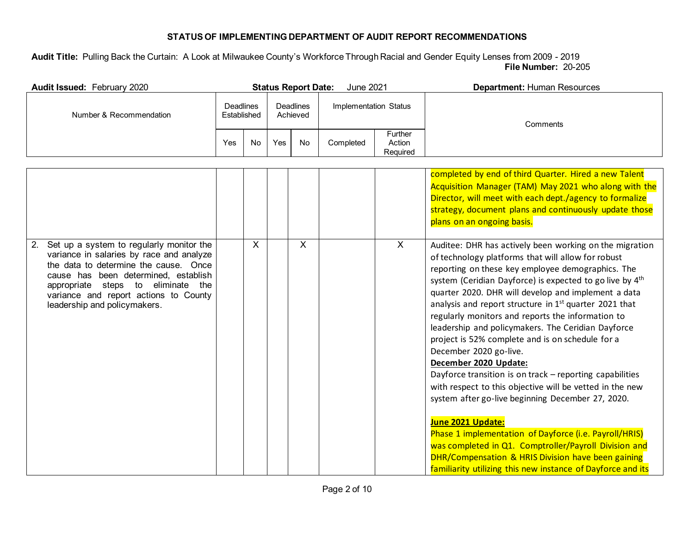| Audit Issued: February 2020                                                                                                                                                                                                                                                             |                          |           |     | <b>Status Report Date:</b>   | June 2021             |                               | Department: Human Resources                                                                                                                                                                                                                                                                                                                                                                                                                                                                                                                                                                                                                                                                                                                                                                                                                                                                                                                                                                                             |
|-----------------------------------------------------------------------------------------------------------------------------------------------------------------------------------------------------------------------------------------------------------------------------------------|--------------------------|-----------|-----|------------------------------|-----------------------|-------------------------------|-------------------------------------------------------------------------------------------------------------------------------------------------------------------------------------------------------------------------------------------------------------------------------------------------------------------------------------------------------------------------------------------------------------------------------------------------------------------------------------------------------------------------------------------------------------------------------------------------------------------------------------------------------------------------------------------------------------------------------------------------------------------------------------------------------------------------------------------------------------------------------------------------------------------------------------------------------------------------------------------------------------------------|
| Number & Recommendation                                                                                                                                                                                                                                                                 | Deadlines<br>Established |           |     | <b>Deadlines</b><br>Achieved | Implementation Status |                               | Comments                                                                                                                                                                                                                                                                                                                                                                                                                                                                                                                                                                                                                                                                                                                                                                                                                                                                                                                                                                                                                |
|                                                                                                                                                                                                                                                                                         | Yes                      | <b>No</b> | Yes | <b>No</b>                    | Completed             | Further<br>Action<br>Required |                                                                                                                                                                                                                                                                                                                                                                                                                                                                                                                                                                                                                                                                                                                                                                                                                                                                                                                                                                                                                         |
|                                                                                                                                                                                                                                                                                         |                          |           |     |                              |                       |                               | completed by end of third Quarter. Hired a new Talent<br>Acquisition Manager (TAM) May 2021 who along with the<br>Director, will meet with each dept./agency to formalize<br>strategy, document plans and continuously update those<br>plans on an ongoing basis.                                                                                                                                                                                                                                                                                                                                                                                                                                                                                                                                                                                                                                                                                                                                                       |
| 2. Set up a system to regularly monitor the<br>variance in salaries by race and analyze<br>the data to determine the cause. Once<br>cause has been determined, establish<br>appropriate steps to eliminate the<br>variance and report actions to County<br>leadership and policymakers. |                          | X         |     | X                            |                       | $\mathsf{X}$                  | Auditee: DHR has actively been working on the migration<br>of technology platforms that will allow for robust<br>reporting on these key employee demographics. The<br>system (Ceridian Dayforce) is expected to go live by 4th<br>quarter 2020. DHR will develop and implement a data<br>analysis and report structure in 1 <sup>st</sup> quarter 2021 that<br>regularly monitors and reports the information to<br>leadership and policymakers. The Ceridian Dayforce<br>project is 52% complete and is on schedule for a<br>December 2020 go-live.<br>December 2020 Update:<br>Dayforce transition is on track - reporting capabilities<br>with respect to this objective will be vetted in the new<br>system after go-live beginning December 27, 2020.<br>June 2021 Update:<br>Phase 1 implementation of Dayforce (i.e. Payroll/HRIS)<br>was completed in Q1. Comptroller/Payroll Division and<br>DHR/Compensation & HRIS Division have been gaining<br>familiarity utilizing this new instance of Dayforce and its |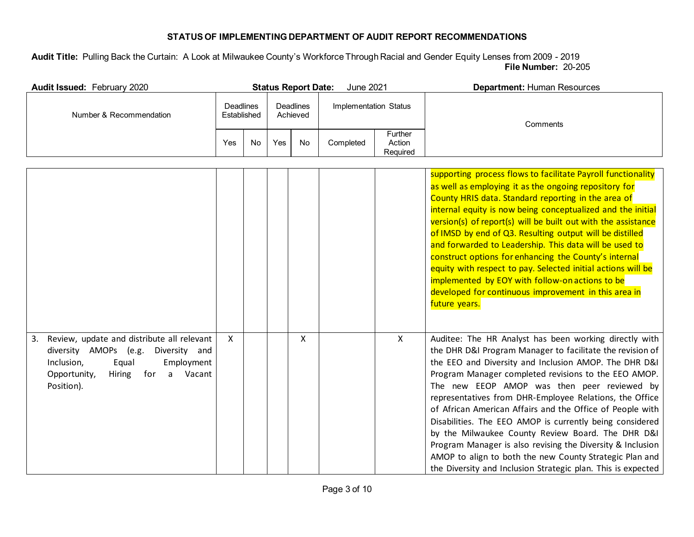| <b>Audit Issued: February 2020</b> |                                 |    |                              | <b>Status Report Date:</b> | June 2021             |                               | <b>Department: Human Resources</b> |
|------------------------------------|---------------------------------|----|------------------------------|----------------------------|-----------------------|-------------------------------|------------------------------------|
| Number & Recommendation            | <b>Deadlines</b><br>Established |    | <b>Deadlines</b><br>Achieved |                            | Implementation Status |                               | Comments                           |
|                                    | Yes                             | No | Yes                          | No                         | Completed             | Further<br>Action<br>Required |                                    |

|                                                                                                                                                                                            |   |  |   |   | supporting process flows to facilitate Payroll functionality<br>as well as employing it as the ongoing repository for<br>County HRIS data. Standard reporting in the area of<br>internal equity is now being conceptualized and the initial<br>version(s) of report(s) will be built out with the assistance<br>of IMSD by end of Q3. Resulting output will be distilled<br>and forwarded to Leadership. This data will be used to<br>construct options for enhancing the County's internal<br>equity with respect to pay. Selected initial actions will be<br>implemented by EOY with follow-on actions to be<br>developed for continuous improvement in this area in<br>future years.                               |
|--------------------------------------------------------------------------------------------------------------------------------------------------------------------------------------------|---|--|---|---|-----------------------------------------------------------------------------------------------------------------------------------------------------------------------------------------------------------------------------------------------------------------------------------------------------------------------------------------------------------------------------------------------------------------------------------------------------------------------------------------------------------------------------------------------------------------------------------------------------------------------------------------------------------------------------------------------------------------------|
| Review, update and distribute all relevant<br>3.<br>diversity AMOPs (e.g. Diversity and<br>Equal<br>Inclusion,<br>Employment<br>Hiring<br>for<br>Vacant<br>Opportunity,<br>a<br>Position). | X |  | X | X | Auditee: The HR Analyst has been working directly with<br>the DHR D&I Program Manager to facilitate the revision of<br>the EEO and Diversity and Inclusion AMOP. The DHR D&I<br>Program Manager completed revisions to the EEO AMOP.<br>The new EEOP AMOP was then peer reviewed by<br>representatives from DHR-Employee Relations, the Office<br>of African American Affairs and the Office of People with<br>Disabilities. The EEO AMOP is currently being considered<br>by the Milwaukee County Review Board. The DHR D&I<br>Program Manager is also revising the Diversity & Inclusion<br>AMOP to align to both the new County Strategic Plan and<br>the Diversity and Inclusion Strategic plan. This is expected |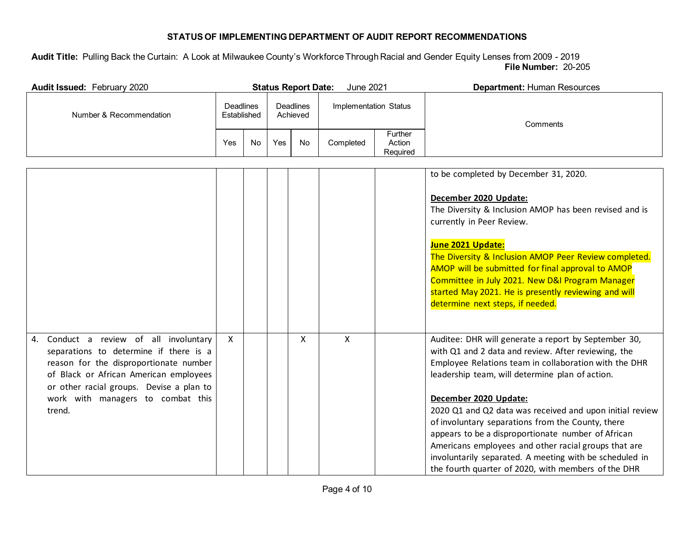| <b>Audit Issued: February 2020</b> |                                                          |     |                       | <b>Status Report Date:</b> | June 2021 |                               | <b>Department: Human Resources</b> |
|------------------------------------|----------------------------------------------------------|-----|-----------------------|----------------------------|-----------|-------------------------------|------------------------------------|
| Number & Recommendation            | <b>Deadlines</b><br>Deadlines<br>Established<br>Achieved |     | Implementation Status |                            | Comments  |                               |                                    |
|                                    | Yes                                                      | No. | Yes                   | No                         | Completed | Further<br>Action<br>Required |                                    |

|                                                                                                                                                                                                                                                                    |              |  |   |   | to be completed by December 31, 2020.                                                                                                                                                                                                                                                                                                                                                                                                                                                                                                                                                             |
|--------------------------------------------------------------------------------------------------------------------------------------------------------------------------------------------------------------------------------------------------------------------|--------------|--|---|---|---------------------------------------------------------------------------------------------------------------------------------------------------------------------------------------------------------------------------------------------------------------------------------------------------------------------------------------------------------------------------------------------------------------------------------------------------------------------------------------------------------------------------------------------------------------------------------------------------|
|                                                                                                                                                                                                                                                                    |              |  |   |   | December 2020 Update:<br>The Diversity & Inclusion AMOP has been revised and is<br>currently in Peer Review.                                                                                                                                                                                                                                                                                                                                                                                                                                                                                      |
|                                                                                                                                                                                                                                                                    |              |  |   |   | June 2021 Update:<br>The Diversity & Inclusion AMOP Peer Review completed.<br>AMOP will be submitted for final approval to AMOP<br>Committee in July 2021. New D&I Program Manager<br>started May 2021. He is presently reviewing and will<br>determine next steps, if needed.                                                                                                                                                                                                                                                                                                                    |
| Conduct a review of all involuntary<br>4.<br>separations to determine if there is a<br>reason for the disproportionate number<br>of Black or African American employees<br>or other racial groups. Devise a plan to<br>work with managers to combat this<br>trend. | $\mathsf{X}$ |  | X | X | Auditee: DHR will generate a report by September 30,<br>with Q1 and 2 data and review. After reviewing, the<br>Employee Relations team in collaboration with the DHR<br>leadership team, will determine plan of action.<br>December 2020 Update:<br>2020 Q1 and Q2 data was received and upon initial review<br>of involuntary separations from the County, there<br>appears to be a disproportionate number of African<br>Americans employees and other racial groups that are<br>involuntarily separated. A meeting with be scheduled in<br>the fourth quarter of 2020, with members of the DHR |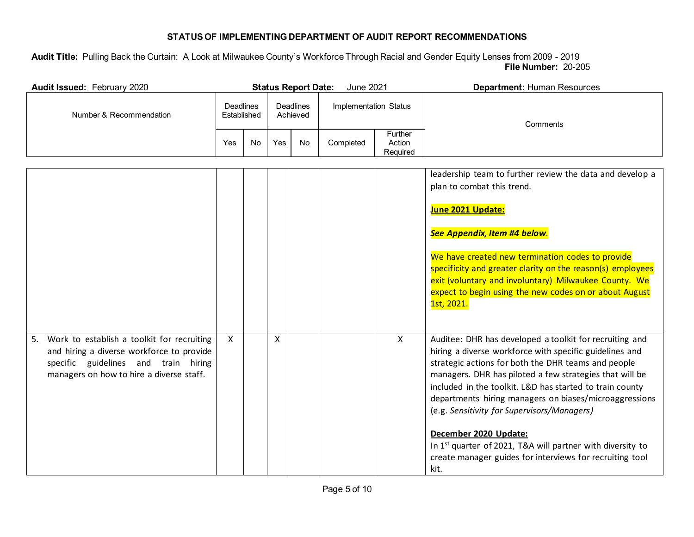| <b>Audit Issued: February 2020</b> |     |                                                                 |     | <b>Status Report Date:</b> | June 2021 |                               | <b>Department: Human Resources</b> |
|------------------------------------|-----|-----------------------------------------------------------------|-----|----------------------------|-----------|-------------------------------|------------------------------------|
| Number & Recommendation            |     | <b>Deadlines</b><br><b>Deadlines</b><br>Established<br>Achieved |     | Implementation Status      |           | Comments                      |                                    |
|                                    | Yes | No                                                              | Yes | No                         | Completed | Further<br>Action<br>Required |                                    |

|                                                                                                                                                                                   |   |   |  |   | leadership team to further review the data and develop a<br>plan to combat this trend.<br>June 2021 Update:<br>See Appendix, Item #4 below.<br>We have created new termination codes to provide<br>specificity and greater clarity on the reason(s) employees<br>exit (voluntary and involuntary) Milwaukee County. We<br>expect to begin using the new codes on or about August<br>1st, 2021.                                                                                                                                                                                   |
|-----------------------------------------------------------------------------------------------------------------------------------------------------------------------------------|---|---|--|---|----------------------------------------------------------------------------------------------------------------------------------------------------------------------------------------------------------------------------------------------------------------------------------------------------------------------------------------------------------------------------------------------------------------------------------------------------------------------------------------------------------------------------------------------------------------------------------|
| Work to establish a toolkit for recruiting<br>5.<br>and hiring a diverse workforce to provide<br>specific guidelines and train hiring<br>managers on how to hire a diverse staff. | X | X |  | X | Auditee: DHR has developed a toolkit for recruiting and<br>hiring a diverse workforce with specific guidelines and<br>strategic actions for both the DHR teams and people<br>managers. DHR has piloted a few strategies that will be<br>included in the toolkit. L&D has started to train county<br>departments hiring managers on biases/microaggressions<br>(e.g. Sensitivity for Supervisors/Managers)<br>December 2020 Update:<br>In 1 <sup>st</sup> quarter of 2021, T&A will partner with diversity to<br>create manager guides for interviews for recruiting tool<br>kit. |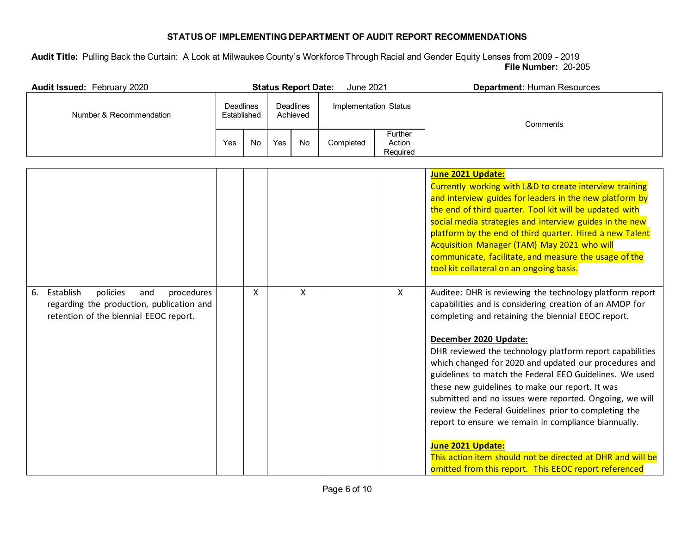| Audit Issued: February 2020                                                                                                             |                          |    |     | <b>Status Report Date:</b>   | June 2021             |                               | <b>Department: Human Resources</b>                                                                                                                                                                                                                                                                                                                                                                                                                                                                                                                                                                                                                                                                                                                            |
|-----------------------------------------------------------------------------------------------------------------------------------------|--------------------------|----|-----|------------------------------|-----------------------|-------------------------------|---------------------------------------------------------------------------------------------------------------------------------------------------------------------------------------------------------------------------------------------------------------------------------------------------------------------------------------------------------------------------------------------------------------------------------------------------------------------------------------------------------------------------------------------------------------------------------------------------------------------------------------------------------------------------------------------------------------------------------------------------------------|
| Number & Recommendation                                                                                                                 | Deadlines<br>Established |    |     | <b>Deadlines</b><br>Achieved | Implementation Status |                               | Comments                                                                                                                                                                                                                                                                                                                                                                                                                                                                                                                                                                                                                                                                                                                                                      |
|                                                                                                                                         | Yes                      | No | Yes | No                           | Completed             | Further<br>Action<br>Required |                                                                                                                                                                                                                                                                                                                                                                                                                                                                                                                                                                                                                                                                                                                                                               |
|                                                                                                                                         |                          |    |     |                              |                       |                               | June 2021 Update:<br>Currently working with L&D to create interview training<br>and interview guides for leaders in the new platform by<br>the end of third quarter. Tool kit will be updated with<br>social media strategies and interview guides in the new<br>platform by the end of third quarter. Hired a new Talent<br>Acquisition Manager (TAM) May 2021 who will<br>communicate, facilitate, and measure the usage of the<br>tool kit collateral on an ongoing basis.                                                                                                                                                                                                                                                                                 |
| Establish<br>policies<br>procedures<br>6.<br>and<br>regarding the production, publication and<br>retention of the biennial EEOC report. |                          | X  |     | X                            |                       | X                             | Auditee: DHR is reviewing the technology platform report<br>capabilities and is considering creation of an AMOP for<br>completing and retaining the biennial EEOC report.<br>December 2020 Update:<br>DHR reviewed the technology platform report capabilities<br>which changed for 2020 and updated our procedures and<br>guidelines to match the Federal EEO Guidelines. We used<br>these new guidelines to make our report. It was<br>submitted and no issues were reported. Ongoing, we will<br>review the Federal Guidelines prior to completing the<br>report to ensure we remain in compliance biannually.<br>June 2021 Update:<br>This action item should not be directed at DHR and will be<br>omitted from this report. This EEOC report referenced |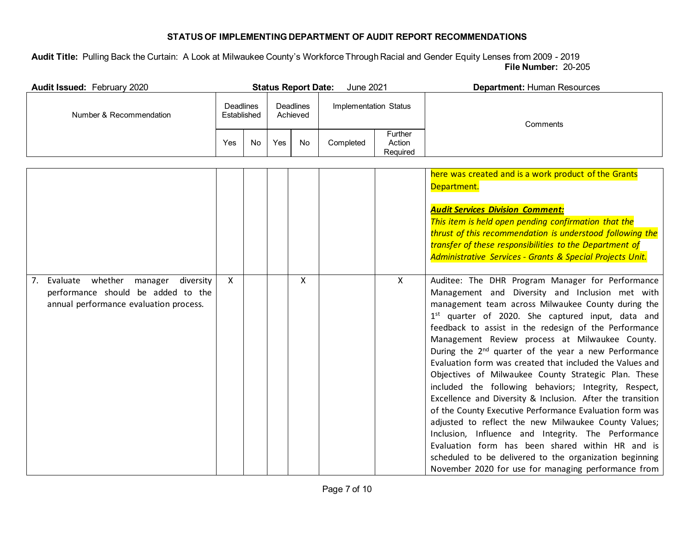| Audit Issued: February 2020                                                                                                    |              |                                                          |     | <b>Status Report Date:</b> | June 2021 |                               | <b>Department: Human Resources</b>                                                                                                                                                                                                                                                                                                                                                                                                                                                                                                                                                                                                                                                                                                                                                                                                                                                                                                                                                                   |
|--------------------------------------------------------------------------------------------------------------------------------|--------------|----------------------------------------------------------|-----|----------------------------|-----------|-------------------------------|------------------------------------------------------------------------------------------------------------------------------------------------------------------------------------------------------------------------------------------------------------------------------------------------------------------------------------------------------------------------------------------------------------------------------------------------------------------------------------------------------------------------------------------------------------------------------------------------------------------------------------------------------------------------------------------------------------------------------------------------------------------------------------------------------------------------------------------------------------------------------------------------------------------------------------------------------------------------------------------------------|
| Number & Recommendation                                                                                                        |              | Deadlines<br><b>Deadlines</b><br>Achieved<br>Established |     | Implementation Status      |           | Comments                      |                                                                                                                                                                                                                                                                                                                                                                                                                                                                                                                                                                                                                                                                                                                                                                                                                                                                                                                                                                                                      |
|                                                                                                                                | Yes          | No.                                                      | Yes | <b>No</b>                  | Completed | Further<br>Action<br>Required |                                                                                                                                                                                                                                                                                                                                                                                                                                                                                                                                                                                                                                                                                                                                                                                                                                                                                                                                                                                                      |
|                                                                                                                                |              |                                                          |     |                            |           |                               | here was created and is a work product of the Grants<br>Department.<br><b>Audit Services Division Comment:</b><br>This item is held open pending confirmation that the<br>thrust of this recommendation is understood following the<br>transfer of these responsibilities to the Department of<br>Administrative Services - Grants & Special Projects Unit.                                                                                                                                                                                                                                                                                                                                                                                                                                                                                                                                                                                                                                          |
| Evaluate whether<br>manager<br>diversity<br>7.<br>performance should be added to the<br>annual performance evaluation process. | $\mathsf{X}$ |                                                          |     | X                          |           | $\mathsf{X}$                  | Auditee: The DHR Program Manager for Performance<br>Management and Diversity and Inclusion met with<br>management team across Milwaukee County during the<br>1 <sup>st</sup> quarter of 2020. She captured input, data and<br>feedback to assist in the redesign of the Performance<br>Management Review process at Milwaukee County.<br>During the 2 <sup>nd</sup> quarter of the year a new Performance<br>Evaluation form was created that included the Values and<br>Objectives of Milwaukee County Strategic Plan. These<br>included the following behaviors; Integrity, Respect,<br>Excellence and Diversity & Inclusion. After the transition<br>of the County Executive Performance Evaluation form was<br>adjusted to reflect the new Milwaukee County Values;<br>Inclusion, Influence and Integrity. The Performance<br>Evaluation form has been shared within HR and is<br>scheduled to be delivered to the organization beginning<br>November 2020 for use for managing performance from |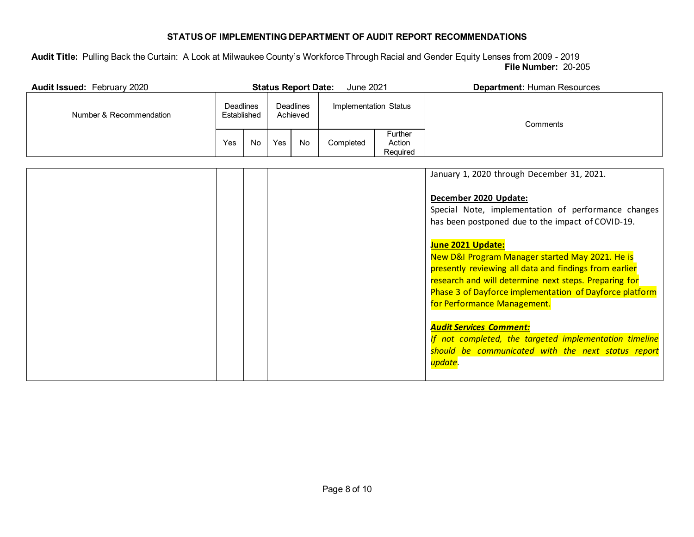| <b>Audit Issued: February 2020</b> |     |                                                                 |     | <b>Status Report Date:</b> | June 2021 |                               | <b>Department: Human Resources</b> |
|------------------------------------|-----|-----------------------------------------------------------------|-----|----------------------------|-----------|-------------------------------|------------------------------------|
| Number & Recommendation            |     | <b>Deadlines</b><br><b>Deadlines</b><br>Established<br>Achieved |     | Implementation Status      |           | Comments                      |                                    |
|                                    | Yes | <b>No</b>                                                       | Yes | No                         | Completed | Further<br>Action<br>Required |                                    |

|  |  |  | January 1, 2020 through December 31, 2021.              |
|--|--|--|---------------------------------------------------------|
|  |  |  |                                                         |
|  |  |  | December 2020 Update:                                   |
|  |  |  | Special Note, implementation of performance changes     |
|  |  |  | has been postponed due to the impact of COVID-19.       |
|  |  |  | June 2021 Update:                                       |
|  |  |  | New D&I Program Manager started May 2021. He is         |
|  |  |  | presently reviewing all data and findings from earlier  |
|  |  |  | research and will determine next steps. Preparing for   |
|  |  |  | Phase 3 of Dayforce implementation of Dayforce platform |
|  |  |  | for Performance Management.                             |
|  |  |  | <b>Audit Services Comment:</b>                          |
|  |  |  | If not completed, the targeted implementation timeline  |
|  |  |  | should be communicated with the next status report      |
|  |  |  | <mark>update</mark> .                                   |
|  |  |  |                                                         |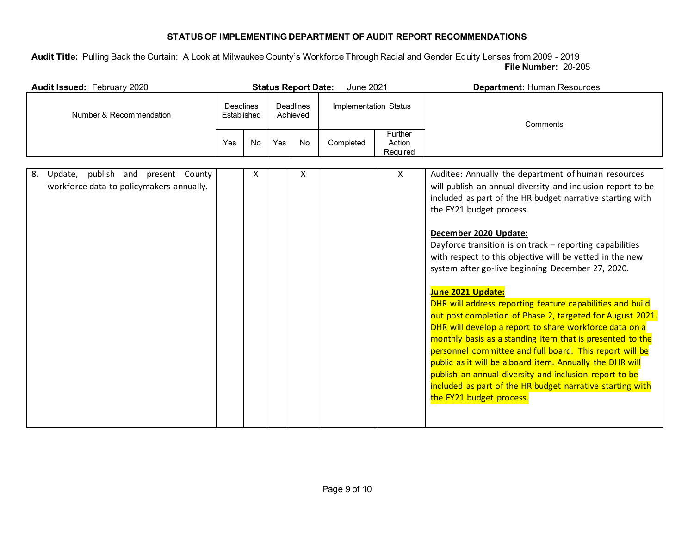| Audit Issued: February 2020                                                                | <b>Status Report Date:</b><br><b>June 2021</b> |           |                              |           |                       |                                      | <b>Department: Human Resources</b>                                                                                                                                                                                                                                                                                                                                                                                                                                                                                                                                                                                                                                                                                                                                                                                                                                                                                                                                |
|--------------------------------------------------------------------------------------------|------------------------------------------------|-----------|------------------------------|-----------|-----------------------|--------------------------------------|-------------------------------------------------------------------------------------------------------------------------------------------------------------------------------------------------------------------------------------------------------------------------------------------------------------------------------------------------------------------------------------------------------------------------------------------------------------------------------------------------------------------------------------------------------------------------------------------------------------------------------------------------------------------------------------------------------------------------------------------------------------------------------------------------------------------------------------------------------------------------------------------------------------------------------------------------------------------|
| Number & Recommendation                                                                    | Deadlines<br>Established                       |           | <b>Deadlines</b><br>Achieved |           | Implementation Status |                                      | Comments                                                                                                                                                                                                                                                                                                                                                                                                                                                                                                                                                                                                                                                                                                                                                                                                                                                                                                                                                          |
|                                                                                            | Yes                                            | <b>No</b> | Yes                          | <b>No</b> | Completed             | <b>Further</b><br>Action<br>Required |                                                                                                                                                                                                                                                                                                                                                                                                                                                                                                                                                                                                                                                                                                                                                                                                                                                                                                                                                                   |
| 8.<br>publish and<br>present County<br>Update,<br>workforce data to policymakers annually. |                                                | X         |                              | Χ         |                       | $\mathsf{X}$                         | Auditee: Annually the department of human resources<br>will publish an annual diversity and inclusion report to be<br>included as part of the HR budget narrative starting with<br>the FY21 budget process.<br>December 2020 Update:<br>Dayforce transition is on track - reporting capabilities<br>with respect to this objective will be vetted in the new<br>system after go-live beginning December 27, 2020.<br>June 2021 Update:<br>DHR will address reporting feature capabilities and build<br>out post completion of Phase 2, targeted for August 2021.<br>DHR will develop a report to share workforce data on a<br>monthly basis as a standing item that is presented to the<br>personnel committee and full board. This report will be<br>public as it will be a board item. Annually the DHR will<br>publish an annual diversity and inclusion report to be<br>included as part of the HR budget narrative starting with<br>the FY21 budget process. |